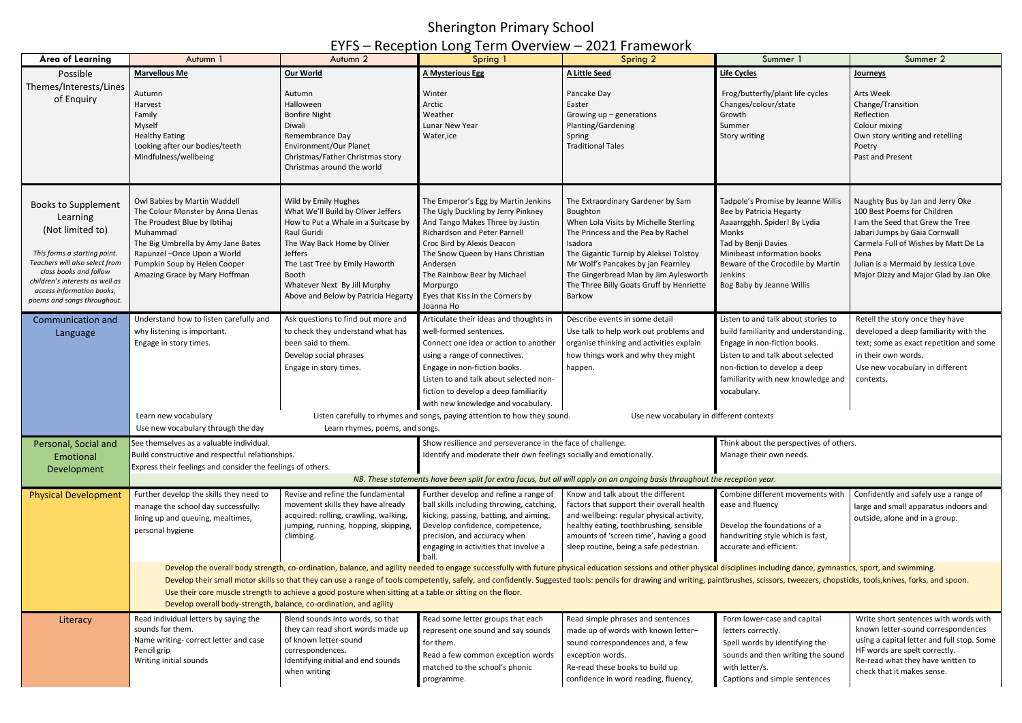## Sherington Primary School

## EYFS – Reception Long Term Overview – 2021 Framework

| <b>Area of Learning</b>                                                                                                                                                                                                                               | Autumn 1                                                                                                                                                                                                                                                                                                                                                                                                                                                                                                                                                                                                                                           | Autumn 2                                                                                                                                                                                                                                                                     | 1.555<br>Spring 1                                                                                                                                                                                                                                                                                                                                                                | Spring 2                                                                                                                                                                                                                                                                                                               | Summer                                                                                                                                                                                                                                    | Summer 2                                                                                                                                                                                                                                                             |  |  |
|-------------------------------------------------------------------------------------------------------------------------------------------------------------------------------------------------------------------------------------------------------|----------------------------------------------------------------------------------------------------------------------------------------------------------------------------------------------------------------------------------------------------------------------------------------------------------------------------------------------------------------------------------------------------------------------------------------------------------------------------------------------------------------------------------------------------------------------------------------------------------------------------------------------------|------------------------------------------------------------------------------------------------------------------------------------------------------------------------------------------------------------------------------------------------------------------------------|----------------------------------------------------------------------------------------------------------------------------------------------------------------------------------------------------------------------------------------------------------------------------------------------------------------------------------------------------------------------------------|------------------------------------------------------------------------------------------------------------------------------------------------------------------------------------------------------------------------------------------------------------------------------------------------------------------------|-------------------------------------------------------------------------------------------------------------------------------------------------------------------------------------------------------------------------------------------|----------------------------------------------------------------------------------------------------------------------------------------------------------------------------------------------------------------------------------------------------------------------|--|--|
| Possible                                                                                                                                                                                                                                              | <b>Marvellous Me</b>                                                                                                                                                                                                                                                                                                                                                                                                                                                                                                                                                                                                                               | Our World                                                                                                                                                                                                                                                                    | <b>A Mysterious Egg</b>                                                                                                                                                                                                                                                                                                                                                          | <b>A Little Seed</b>                                                                                                                                                                                                                                                                                                   | <b>Life Cycles</b>                                                                                                                                                                                                                        | <b>Journeys</b>                                                                                                                                                                                                                                                      |  |  |
| Themes/Interests/Lines<br>of Enquiry                                                                                                                                                                                                                  | Autumn<br>Harvest<br>Family<br>Myself<br><b>Healthy Eating</b><br>Looking after our bodies/teeth<br>Mindfulness/wellbeing                                                                                                                                                                                                                                                                                                                                                                                                                                                                                                                          | Autumn<br>Halloween<br><b>Bonfire Night</b><br>Diwali<br>Remembrance Day<br>Environment/Our Planet<br>Christmas/Father Christmas story<br>Christmas around the world                                                                                                         | Winter<br>Arctic<br>Weather<br>Lunar New Year<br>Water, ice                                                                                                                                                                                                                                                                                                                      | Pancake Day<br>Easter<br>Growing $up$ – generations<br>Planting/Gardening<br>Spring<br><b>Traditional Tales</b>                                                                                                                                                                                                        | Frog/butterfly/plant life cycles<br>Changes/colour/state<br>Growth<br>Summer<br>Story writing                                                                                                                                             | Arts Week<br>Change/Transition<br>Reflection<br>Colour mixing<br>Own story writing and retelling<br>Poetry<br>Past and Present                                                                                                                                       |  |  |
| <b>Books to Supplement</b><br>Learning<br>(Not limited to)<br>This forms a starting point.<br>Teachers will also select from<br>class books and follow<br>children's interests as well as<br>access information books,<br>poems and songs throughout. | Owl Babies by Martin Waddell<br>The Colour Monster by Anna Llenas<br>The Proudest Blue by Ibtihaj<br>Muhammad<br>The Big Umbrella by Amy Jane Bates<br>Rapunzel - Once Upon a World<br>Pumpkin Soup by Helen Cooper<br>Amazing Grace by Mary Hoffman                                                                                                                                                                                                                                                                                                                                                                                               | Wild by Emily Hughes<br>What We'll Build by Oliver Jeffers<br>How to Put a Whale in a Suitcase by<br>Raul Guridi<br>The Way Back Home by Oliver<br>Jeffers<br>The Last Tree by Emily Haworth<br>Booth<br>Whatever Next By Jill Murphy<br>Above and Below by Patricia Hegarty | The Emperor's Egg by Martin Jenkins<br>The Ugly Duckling by Jerry Pinkney<br>And Tango Makes Three by Justin<br>Richardson and Peter Parnell<br>Croc Bird by Alexis Deacon<br>The Snow Queen by Hans Christian<br>Andersen<br>The Rainbow Bear by Michael<br>Morpurgo<br>Eyes that Kiss in the Corners by<br>Joanna Ho                                                           | The Extraordinary Gardener by Sam<br>Boughton<br>When Lola Visits by Michelle Sterling<br>The Princess and the Pea by Rachel<br>Isadora<br>The Gigantic Turnip by Aleksei Tolstoy<br>Mr Wolf's Pancakes by jan Fearnley<br>The Gingerbread Man by Jim Aylesworth<br>The Three Billy Goats Gruff by Henriette<br>Barkow | Tadpole's Promise by Jeanne Willis<br>Bee by Patricia Hegarty<br>Aaaarrgghh. Spider! By Lydia<br>Monks<br>Tad by Benji Davies<br>Minibeast information books<br>Beware of the Crocodile by Martin<br>Jenkins<br>Bog Baby by Jeanne Willis | Naughty Bus by Jan and Jerry Oke<br>100 Best Poems for Children<br>I am the Seed that Grew the Tree<br>Jabari Jumps by Gaia Cornwall<br>Carmela Full of Wishes by Matt De La<br>Pena<br>Julian is a Mermaid by Jessica Love<br>Major Dizzy and Major Glad by Jan Oke |  |  |
| Communication and<br>Language                                                                                                                                                                                                                         | Understand how to listen carefully and<br>why listening is important.<br>Engage in story times.<br>Learn new vocabulary                                                                                                                                                                                                                                                                                                                                                                                                                                                                                                                            | Ask questions to find out more and<br>to check they understand what has<br>been said to them.<br>Develop social phrases<br>Engage in story times.                                                                                                                            | Articulate their ideas and thoughts in<br>well-formed sentences.<br>Connect one idea or action to another<br>using a range of connectives.<br>Engage in non-fiction books.<br>Listen to and talk about selected non-<br>fiction to develop a deep familiarity<br>with new knowledge and vocabulary.<br>Listen carefully to rhymes and songs, paying attention to how they sound. | Describe events in some detail<br>Use talk to help work out problems and<br>organise thinking and activities explain<br>how things work and why they might<br>happen.<br>Use new vocabulary in different contexts                                                                                                      | Listen to and talk about stories to<br>build familiarity and understanding.<br>Engage in non-fiction books.<br>Listen to and talk about selected<br>non-fiction to develop a deep<br>familiarity with new knowledge and<br>vocabulary.    | Retell the story once they have<br>developed a deep familiarity with the<br>text; some as exact repetition and some<br>in their own words.<br>Use new vocabulary in different<br>contexts.                                                                           |  |  |
|                                                                                                                                                                                                                                                       | Use new vocabulary through the day                                                                                                                                                                                                                                                                                                                                                                                                                                                                                                                                                                                                                 | Learn rhymes, poems, and songs.                                                                                                                                                                                                                                              |                                                                                                                                                                                                                                                                                                                                                                                  |                                                                                                                                                                                                                                                                                                                        |                                                                                                                                                                                                                                           |                                                                                                                                                                                                                                                                      |  |  |
| Personal, Social and                                                                                                                                                                                                                                  | See themselves as a valuable individual.                                                                                                                                                                                                                                                                                                                                                                                                                                                                                                                                                                                                           |                                                                                                                                                                                                                                                                              | Show resilience and perseverance in the face of challenge.                                                                                                                                                                                                                                                                                                                       |                                                                                                                                                                                                                                                                                                                        | Think about the perspectives of others.                                                                                                                                                                                                   |                                                                                                                                                                                                                                                                      |  |  |
| Emotional                                                                                                                                                                                                                                             | Build constructive and respectful relationships.                                                                                                                                                                                                                                                                                                                                                                                                                                                                                                                                                                                                   |                                                                                                                                                                                                                                                                              | Identify and moderate their own feelings socially and emotionally.                                                                                                                                                                                                                                                                                                               |                                                                                                                                                                                                                                                                                                                        | Manage their own needs.                                                                                                                                                                                                                   |                                                                                                                                                                                                                                                                      |  |  |
| Development                                                                                                                                                                                                                                           | Express their feelings and consider the feelings of others.                                                                                                                                                                                                                                                                                                                                                                                                                                                                                                                                                                                        |                                                                                                                                                                                                                                                                              |                                                                                                                                                                                                                                                                                                                                                                                  |                                                                                                                                                                                                                                                                                                                        |                                                                                                                                                                                                                                           |                                                                                                                                                                                                                                                                      |  |  |
|                                                                                                                                                                                                                                                       |                                                                                                                                                                                                                                                                                                                                                                                                                                                                                                                                                                                                                                                    |                                                                                                                                                                                                                                                                              |                                                                                                                                                                                                                                                                                                                                                                                  | NB. These statements have been split for extra focus, but all will apply on an ongoing basis throughout the reception year.                                                                                                                                                                                            |                                                                                                                                                                                                                                           |                                                                                                                                                                                                                                                                      |  |  |
| <b>Physical Development</b>                                                                                                                                                                                                                           | Further develop the skills they need to<br>manage the school day successfully:<br>lining up and queuing, mealtimes,<br>personal hygiene                                                                                                                                                                                                                                                                                                                                                                                                                                                                                                            | Revise and refine the fundamental<br>movement skills they have already<br>acquired: rolling, crawling, walking,<br>jumping, running, hopping, skipping,<br>climbing.                                                                                                         | Further develop and refine a range of<br>ball skills including throwing, catching,<br>kicking, passing, batting, and aiming.<br>Develop confidence, competence,<br>precision, and accuracy when<br>engaging in activities that involve a<br>ball                                                                                                                                 | Know and talk about the different<br>factors that support their overall health<br>and wellbeing: regular physical activity,<br>healthy eating, toothbrushing, sensible<br>amounts of 'screen time', having a good<br>sleep routine, being a safe pedestrian.                                                           | Combine different movements with<br>ease and fluency<br>Develop the foundations of a<br>handwriting style which is fast,<br>accurate and efficient.                                                                                       | Confidently and safely use a range of<br>large and small apparatus indoors and<br>outside, alone and in a group.                                                                                                                                                     |  |  |
|                                                                                                                                                                                                                                                       | Develop the overall body strength, co-ordination, balance, and agility needed to engage successfully with future physical education sessions and other physical disciplines including dance, gymnastics, sport, and swimming.<br>Develop their small motor skills so that they can use a range of tools competently, safely, and confidently. Suggested tools: pencils for drawing and writing, paintbrushes, scissors, tweezers, chopsticks, tools, knives, fo<br>Use their core muscle strength to achieve a good posture when sitting at a table or sitting on the floor.<br>Develop overall body-strength, balance, co-ordination, and agility |                                                                                                                                                                                                                                                                              |                                                                                                                                                                                                                                                                                                                                                                                  |                                                                                                                                                                                                                                                                                                                        |                                                                                                                                                                                                                                           |                                                                                                                                                                                                                                                                      |  |  |
| Literacy                                                                                                                                                                                                                                              | Read individual letters by saying the<br>sounds for them.<br>Name writing- correct letter and case<br>Pencil grip<br>Writing initial sounds                                                                                                                                                                                                                                                                                                                                                                                                                                                                                                        | Blend sounds into words, so that<br>they can read short words made up<br>of known letter-sound<br>correspondences.<br>Identifying initial and end sounds<br>when writing                                                                                                     | Read some letter groups that each<br>represent one sound and say sounds<br>for them.<br>Read a few common exception words<br>matched to the school's phonic<br>programme.                                                                                                                                                                                                        | Read simple phrases and sentences<br>made up of words with known letter-<br>sound correspondences and, a few<br>exception words.<br>Re-read these books to build up<br>confidence in word reading, fluency,                                                                                                            | Form lower-case and capital<br>letters correctly.<br>Spell words by identifying the<br>sounds and then writing the sound<br>with letter/s.<br>Captions and simple sentences                                                               | Write short sentences with words with<br>known letter-sound correspondences<br>using a capital letter and full stop. Some<br>HF words are spelt correctly.<br>Re-read what they have written to<br>check that it makes sense.                                        |  |  |